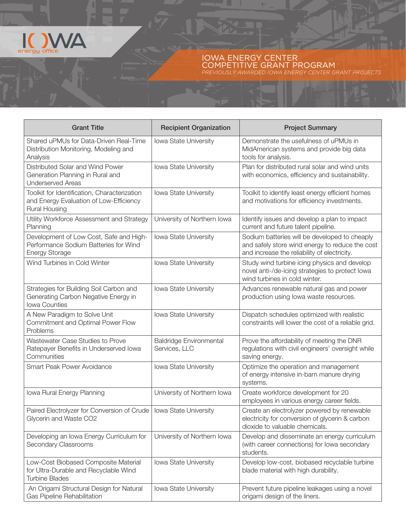

Gas Pipeline Rehabilitation

## IOWA ENERGY CENTER COMPETITIVE GRANT PROGRAM *PREVIOUSLY AWARDED IOWA ENERGY CENTER GRANT PROJECTS*

origami design of the liners.

Grant Title **Recipient Organization Project Summary** Shared uPMUs for Data-Driven Real-Time Distribution Monitoring, Modeling and Analysis Iowa State University | Demonstrate the usefulness of uPMUs in MidAmerican systems and provide big data tools for analysis. Distributed Solar and Wind Power Generation Planning in Rural and Underserved Areas Iowa State University Plan for distributed rural solar and wind units with economics, efficiency and sustainability. Toolkit for Identification, Characterization and Energy Evaluation of Low-Efficiency Rural Housing Iowa State University Toolkit to identify least energy efficient homes and motivations for efficiency investments. Utility Workforce Assessment and Strategy Planning University of Northern Iowa  $\vert$  Identify issues and develop a plan to impact current and future talent pipeline. Development of Low Cost, Safe and High-Performance Sodium Batteries for Wind Energy Storage Iowa State University | Sodium batteries will be developed to cheaply and safely store wind energy to reduce the cost and increase the reliability of electricity. Wind Turbines in Cold Winter **Iowa State University** Study wind turbine icing physics and develop novel anti-/de-icing strategies to protect Iowa wind turbines in cold winter. Strategies for Building Soil Carbon and Generating Carbon Negative Energy in Iowa Counties Iowa State University | Advances renewable natural gas and power production using Iowa waste resources. A New Paradigm to Solve Unit Commitment and Optimal Power Flow Problems Iowa State University Dispatch schedules optimized with realistic constraints will lower the cost of a reliable grid. Wastewater Case Studies to Prove Ratepayer Benefits in Underserved Iowa **Communities** Baldridge Environmental Services, LLC Prove the affordability of meeting the DNR regulations with civil engineers' oversight while saving energy. Smart Peak Power Avoidance **Iowa State University Iomagement** Optimize the operation and management of energy intensive in-barn manure drying systems. Iowa Rural Energy Planning University of Northern Iowa Create workforce development for 20 employees in various energy career fields. Paired Electrolyzer for Conversion of Crude Glycerin and Waste CO2 Iowa State University Create an electrolyzer powered by renewable electricity for conversion of glycerin & carbon dioxide to valuable chemicals. Developing an Iowa Energy Curriculum for Secondary Classrooms University of Northern Iowa | Develop and disseminate an energy curriculum (with career connections) for Iowa secondary students. Low-Cost Biobased Composite Material for Ultra-Durable and Recyclable Wind Turbine Blades Iowa State University | Develop Iow-cost, biobased recyclable turbine blade material with high durability. An Origami Structural Design for Natural Iowa State University | Prevent future pipeline leakages using a novel